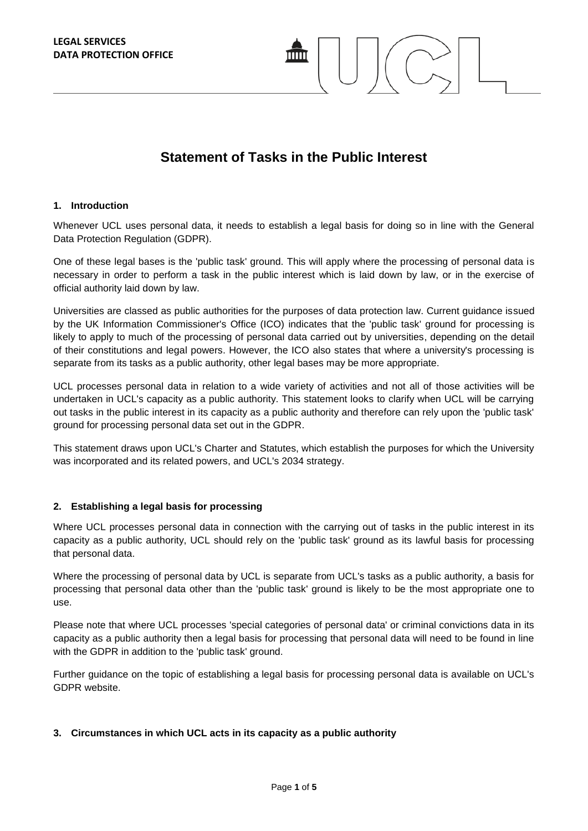# **Statement of Tasks in the Public Interest**

#### **1. Introduction**

Whenever UCL uses personal data, it needs to establish a legal basis for doing so in line with the General Data Protection Regulation (GDPR).

One of these legal bases is the 'public task' ground. This will apply where the processing of personal data is necessary in order to perform a task in the public interest which is laid down by law, or in the exercise of official authority laid down by law.

Universities are classed as public authorities for the purposes of data protection law. Current guidance issued by the UK Information Commissioner's Office (ICO) indicates that the 'public task' ground for processing is likely to apply to much of the processing of personal data carried out by universities, depending on the detail of their constitutions and legal powers. However, the ICO also states that where a university's processing is separate from its tasks as a public authority, other legal bases may be more appropriate.

UCL processes personal data in relation to a wide variety of activities and not all of those activities will be undertaken in UCL's capacity as a public authority. This statement looks to clarify when UCL will be carrying out tasks in the public interest in its capacity as a public authority and therefore can rely upon the 'public task' ground for processing personal data set out in the GDPR.

This statement draws upon UCL's Charter and Statutes, which establish the purposes for which the University was incorporated and its related powers, and UCL's 2034 strategy.

#### **2. Establishing a legal basis for processing**

Where UCL processes personal data in connection with the carrying out of tasks in the public interest in its capacity as a public authority, UCL should rely on the 'public task' ground as its lawful basis for processing that personal data.

Where the processing of personal data by UCL is separate from UCL's tasks as a public authority, a basis for processing that personal data other than the 'public task' ground is likely to be the most appropriate one to use.

Please note that where UCL processes 'special categories of personal data' or criminal convictions data in its capacity as a public authority then a legal basis for processing that personal data will need to be found in line with the GDPR in addition to the 'public task' ground.

Further guidance on the topic of establishing a legal basis for processing personal data is available on UCL's GDPR website.

#### **3. Circumstances in which UCL acts in its capacity as a public authority**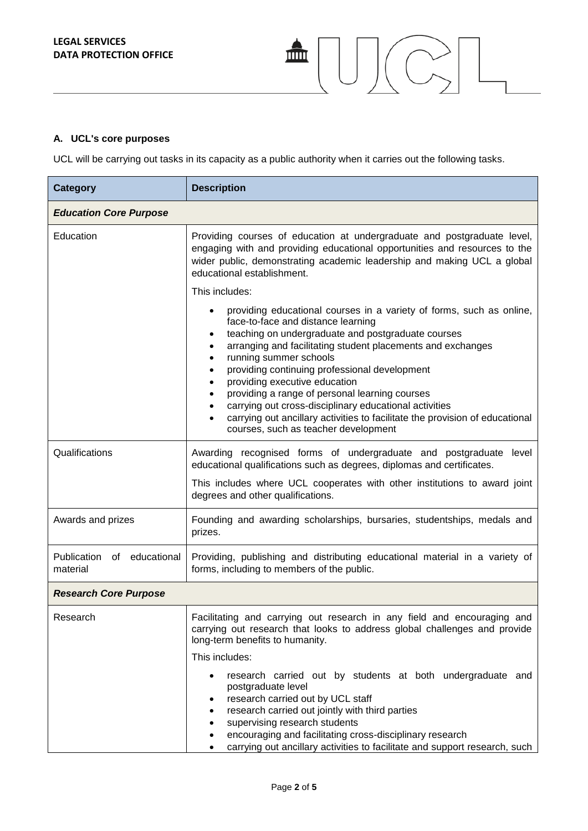## **A. UCL's core purposes**

UCL will be carrying out tasks in its capacity as a public authority when it carries out the following tasks.

血<br>一

 $\bigcup \left(\bigcirc$ 

| <b>Category</b>                        | <b>Description</b>                                                                                                                                                                                                                                                                                                                                                                                                                                                                                                                                                                                             |  |
|----------------------------------------|----------------------------------------------------------------------------------------------------------------------------------------------------------------------------------------------------------------------------------------------------------------------------------------------------------------------------------------------------------------------------------------------------------------------------------------------------------------------------------------------------------------------------------------------------------------------------------------------------------------|--|
| <b>Education Core Purpose</b>          |                                                                                                                                                                                                                                                                                                                                                                                                                                                                                                                                                                                                                |  |
| Education                              | Providing courses of education at undergraduate and postgraduate level,<br>engaging with and providing educational opportunities and resources to the<br>wider public, demonstrating academic leadership and making UCL a global<br>educational establishment.                                                                                                                                                                                                                                                                                                                                                 |  |
|                                        | This includes:                                                                                                                                                                                                                                                                                                                                                                                                                                                                                                                                                                                                 |  |
|                                        | providing educational courses in a variety of forms, such as online,<br>face-to-face and distance learning<br>teaching on undergraduate and postgraduate courses<br>arranging and facilitating student placements and exchanges<br>running summer schools<br>$\bullet$<br>providing continuing professional development<br>providing executive education<br>$\bullet$<br>providing a range of personal learning courses<br>٠<br>carrying out cross-disciplinary educational activities<br>carrying out ancillary activities to facilitate the provision of educational<br>courses, such as teacher development |  |
| Qualifications                         | Awarding recognised forms of undergraduate and postgraduate<br>level<br>educational qualifications such as degrees, diplomas and certificates.<br>This includes where UCL cooperates with other institutions to award joint<br>degrees and other qualifications.                                                                                                                                                                                                                                                                                                                                               |  |
| Awards and prizes                      | Founding and awarding scholarships, bursaries, studentships, medals and<br>prizes.                                                                                                                                                                                                                                                                                                                                                                                                                                                                                                                             |  |
| Publication of educational<br>material | Providing, publishing and distributing educational material in a variety of<br>forms, including to members of the public.                                                                                                                                                                                                                                                                                                                                                                                                                                                                                      |  |
| <b>Research Core Purpose</b>           |                                                                                                                                                                                                                                                                                                                                                                                                                                                                                                                                                                                                                |  |
| Research                               | Facilitating and carrying out research in any field and encouraging and<br>carrying out research that looks to address global challenges and provide<br>long-term benefits to humanity.<br>This includes:                                                                                                                                                                                                                                                                                                                                                                                                      |  |
|                                        | research carried out by students at both undergraduate and<br>٠<br>postgraduate level<br>research carried out by UCL staff<br>٠<br>research carried out jointly with third parties<br>$\bullet$<br>supervising research students<br>$\bullet$<br>encouraging and facilitating cross-disciplinary research<br>$\bullet$<br>carrying out ancillary activities to facilitate and support research, such<br>$\bullet$                                                                                                                                                                                              |  |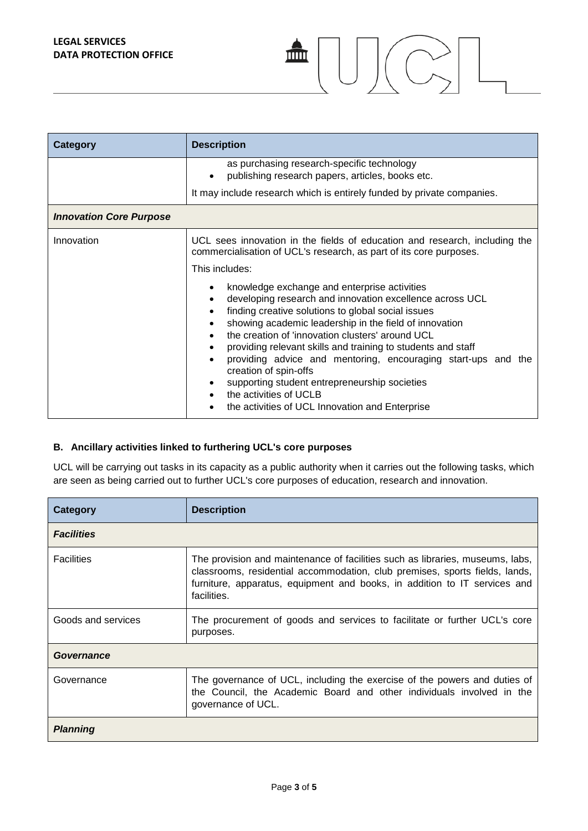**LEGAL SERVICES DATA PROTECTION OFFICE**

| <b>Category</b>                | <b>Description</b>                                                                                                                                                                                                                                                                                                                                                                                                                                                                                                                                                                |
|--------------------------------|-----------------------------------------------------------------------------------------------------------------------------------------------------------------------------------------------------------------------------------------------------------------------------------------------------------------------------------------------------------------------------------------------------------------------------------------------------------------------------------------------------------------------------------------------------------------------------------|
|                                | as purchasing research-specific technology<br>publishing research papers, articles, books etc.                                                                                                                                                                                                                                                                                                                                                                                                                                                                                    |
|                                | It may include research which is entirely funded by private companies.                                                                                                                                                                                                                                                                                                                                                                                                                                                                                                            |
| <b>Innovation Core Purpose</b> |                                                                                                                                                                                                                                                                                                                                                                                                                                                                                                                                                                                   |
| Innovation                     | UCL sees innovation in the fields of education and research, including the<br>commercialisation of UCL's research, as part of its core purposes.<br>This includes:                                                                                                                                                                                                                                                                                                                                                                                                                |
|                                | knowledge exchange and enterprise activities<br>developing research and innovation excellence across UCL<br>finding creative solutions to global social issues<br>showing academic leadership in the field of innovation<br>$\bullet$<br>the creation of 'innovation clusters' around UCL<br>providing relevant skills and training to students and staff<br>providing advice and mentoring, encouraging start-ups and the<br>creation of spin-offs<br>supporting student entrepreneurship societies<br>the activities of UCLB<br>the activities of UCL Innovation and Enterprise |

血

 $C_{2}$   $L$ 

#### **B. Ancillary activities linked to furthering UCL's core purposes**

UCL will be carrying out tasks in its capacity as a public authority when it carries out the following tasks, which are seen as being carried out to further UCL's core purposes of education, research and innovation.

| Category           | <b>Description</b>                                                                                                                                                                                                                                       |  |
|--------------------|----------------------------------------------------------------------------------------------------------------------------------------------------------------------------------------------------------------------------------------------------------|--|
| <b>Facilities</b>  |                                                                                                                                                                                                                                                          |  |
| <b>Facilities</b>  | The provision and maintenance of facilities such as libraries, museums, labs,<br>classrooms, residential accommodation, club premises, sports fields, lands,<br>furniture, apparatus, equipment and books, in addition to IT services and<br>facilities. |  |
| Goods and services | The procurement of goods and services to facilitate or further UCL's core<br>purposes.                                                                                                                                                                   |  |
| Governance         |                                                                                                                                                                                                                                                          |  |
| Governance         | The governance of UCL, including the exercise of the powers and duties of<br>the Council, the Academic Board and other individuals involved in the<br>governance of UCL.                                                                                 |  |
| <b>Planning</b>    |                                                                                                                                                                                                                                                          |  |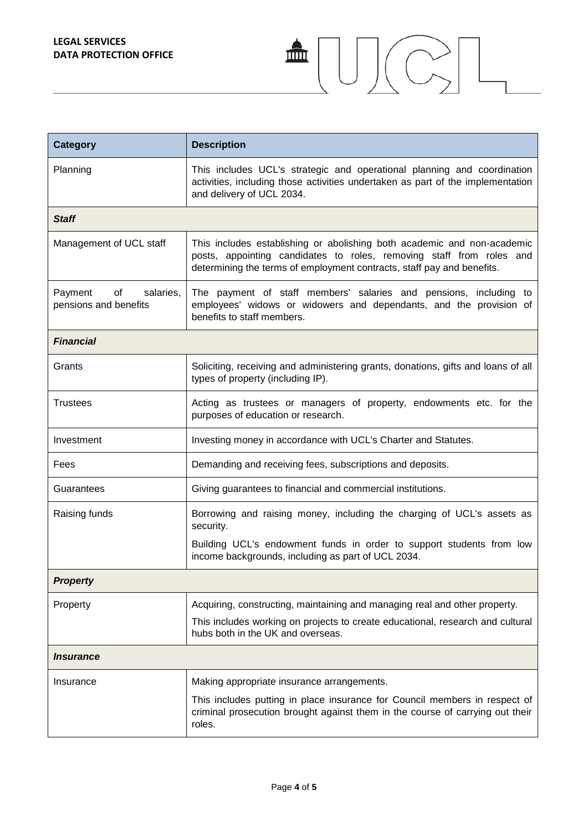| <b>Category</b>                                  | <b>Description</b>                                                                                                                                                                                                        |  |
|--------------------------------------------------|---------------------------------------------------------------------------------------------------------------------------------------------------------------------------------------------------------------------------|--|
| Planning                                         | This includes UCL's strategic and operational planning and coordination<br>activities, including those activities undertaken as part of the implementation<br>and delivery of UCL 2034.                                   |  |
| <b>Staff</b>                                     |                                                                                                                                                                                                                           |  |
| Management of UCL staff                          | This includes establishing or abolishing both academic and non-academic<br>posts, appointing candidates to roles, removing staff from roles and<br>determining the terms of employment contracts, staff pay and benefits. |  |
| Payment<br>of salaries,<br>pensions and benefits | The payment of staff members' salaries and pensions, including to<br>employees' widows or widowers and dependants, and the provision of<br>benefits to staff members.                                                     |  |
| <b>Financial</b>                                 |                                                                                                                                                                                                                           |  |
| Grants                                           | Soliciting, receiving and administering grants, donations, gifts and loans of all<br>types of property (including IP).                                                                                                    |  |
| <b>Trustees</b>                                  | Acting as trustees or managers of property, endowments etc. for the<br>purposes of education or research.                                                                                                                 |  |
| Investment                                       | Investing money in accordance with UCL's Charter and Statutes.                                                                                                                                                            |  |
| Fees                                             | Demanding and receiving fees, subscriptions and deposits.                                                                                                                                                                 |  |
| Guarantees                                       | Giving guarantees to financial and commercial institutions.                                                                                                                                                               |  |
| Raising funds                                    | Borrowing and raising money, including the charging of UCL's assets as<br>security.                                                                                                                                       |  |
|                                                  | Building UCL's endowment funds in order to support students from low<br>income backgrounds, including as part of UCL 2034.                                                                                                |  |
| <b>Property</b>                                  |                                                                                                                                                                                                                           |  |
| Property                                         | Acquiring, constructing, maintaining and managing real and other property.                                                                                                                                                |  |
|                                                  | This includes working on projects to create educational, research and cultural<br>hubs both in the UK and overseas.                                                                                                       |  |
| <i><b>Insurance</b></i>                          |                                                                                                                                                                                                                           |  |
| Insurance                                        | Making appropriate insurance arrangements.                                                                                                                                                                                |  |
|                                                  | This includes putting in place insurance for Council members in respect of<br>criminal prosecution brought against them in the course of carrying out their<br>roles.                                                     |  |

 $\begin{picture}(120,15) \put(0,0){\line(1,0){155}} \put(15,0){\line(1,0){155}} \put(15,0){\line(1,0){155}} \put(15,0){\line(1,0){155}} \put(15,0){\line(1,0){155}} \put(15,0){\line(1,0){155}} \put(15,0){\line(1,0){155}} \put(15,0){\line(1,0){155}} \put(15,0){\line(1,0){155}} \put(15,0){\line(1,0){155}} \put(15,0){\line(1,0){155}}$